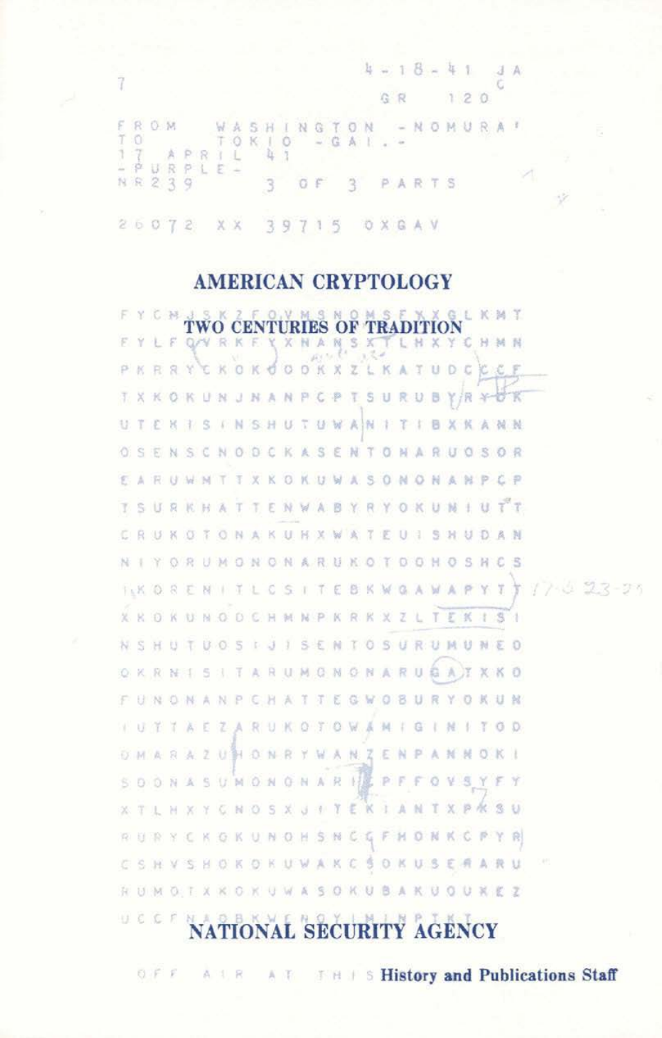$4 - 18 - 41$  $.3A$ Ġ GR  $120$ £ ROM WASHINGTON - NOMURAT Ï  $\circ$ TOKIO  $- G$ A  $\bar{1}$  $\overline{\tau}$ APRIL îç. 1  $\phi$ URPLE- $239$ NR 3 OF  $\mathcal{R}$ PARTS  $26072$ X X 39715 OXGAV

Ÿ

## **AMERICAN CRYPTOLOGY**

TWO CENTURIES OF TRADITION LKMT F. **QAY R K** XNANSX т LHXYC H M N PKRRY CKOKO **COKXZ** LK UDC A **BYR** π **ANPCPT** S U RU. 3. x KOKU  $^{34}$  $N$ × TUWAN TIBXKANN UTERISINSHU 津 OSENSCNODCKASENTONARUOSOR ARUWNTTXKOKUWASONONANPCP ge. TSURKHATTENWABYRYOKUNIUTT CRUKOTONAKUNXWATEU1SHUDAN NIYORUMGNONARUKOTOGHOSHC  $\mathbb{E}$  $7.0227 - 3$ **IKORENITLCSITEBKWGA**  $A$ Y T  $-1$ X K O K U N O O C H M N P K R K X Z L T E K 1 S a HUTUOSIJISENTOSURUMUNEO N S **I TARUMONONARUBAT** X KO O. K. RNIS CHAITEGWOBURYOKUM **BNONANP** ZARUKOTOWAMIGINI a)  $\mathbf{1}$ TTAE TOD UHONRYWANZENPANN OKI MARA 医 UMONGNARI P. s Y s B  $D: N$ 強  $\circ$ v **KIANTXPRSU** ×  $-14$ K. NO. s X J  $\mathcal{R}$ Y E. **IC** F. HONKCPYR W. 78 К N H s  $\mathbb{N}$ SOKUSERARU SHOK **OKUWAKC** ×. 34 v RUMOTXKOKUWASOKUBAKUOUKEZ UCCF  $^{10}$ **NATIONAL SECURITY AGENCY** 

THIS History and Publications Staff  $0 F F$ A 1 R A 15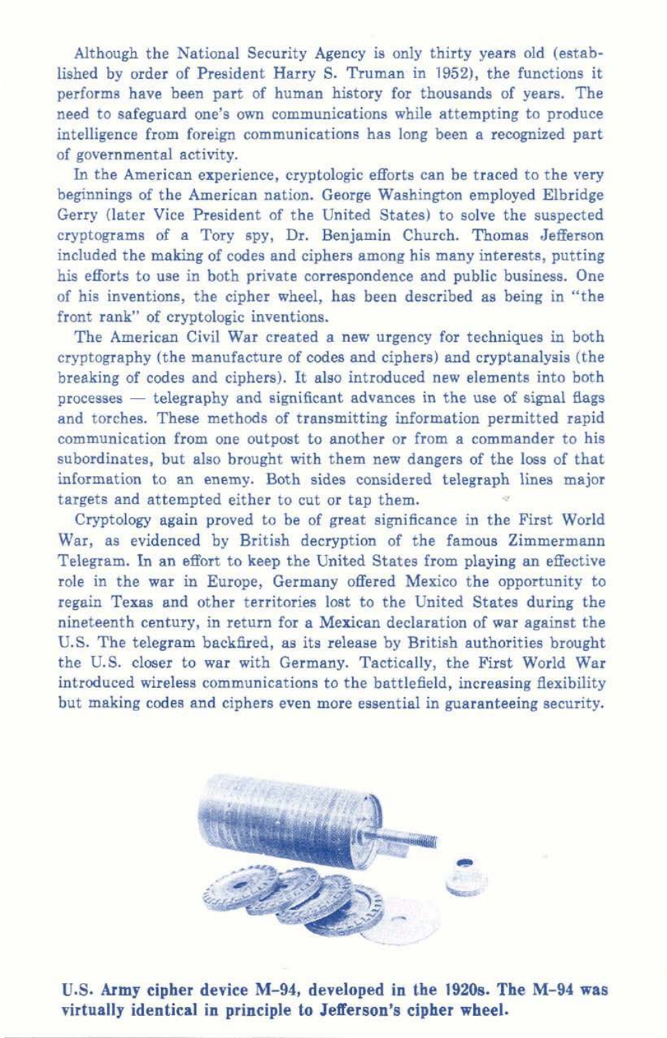Although the National Security Agency is only thirty years old (established by order of President Harry S. Truman in 1952), the functions it performs have been part of human history for thousands of years. The need to safeguard one's own communications while attempting to produce intelligence from foreign communications has long been a recognized part of governmental activity.

In the American experience, cryptologic efforts can be traced to the very beginnings of the American nation. George Washington employed Elbridge Gerry (later Vice President of the United States) to solve the suspected cryptograms of a Tory spy, Dr. Benjamin Church. Thomas Jefferson included the making of codes and ciphers among his many interests, putting his efforts to use in both private correspondence and public business. One of his inventions, the cipher wheel, has been described as being in "the front rank" of cryptologic inventions.

The American Civil War created a new urgency for techniques in both cryptography (the manufacture of codes and ciphers) and cryptanalysis (the breaking of codes and ciphers). It also introduced new elements into both processes - telegraphy and significant advances in the use of signal flags and torches. These methods of transmitting information permitted rapid communication from one outpost to another or from a commander to his subordinates, but also brought with them new dangers of the loss of that information to an enemy. Both sides considered telegraph lines major targets and attempted either to cut or tap them.

Cryptology again proved to be of great significance in the First World War, as evidenced by British decryption of the famous Zimmermann Telegram. In an effort to keep the United States from playing an effective role in the war in Europe, Germany offered Mexico the opportunity to regain Texas and other territories lost to the United States during the nineteenth century, in return for a Mexican declaration of war against the U.S. The telegram backfired, as its release by British authorities brought the U.S. closer to war with Germany. Tactically, the First World War introduced wireless communications to the battlefield, increasing flexibility but making codes and ciphers even more essential in guaranteeing security.



U.S. **Army cipher device M- 94, developed in the 1920s. The M-94 was virtually identical in principle to Jefferson's cipher wheel.**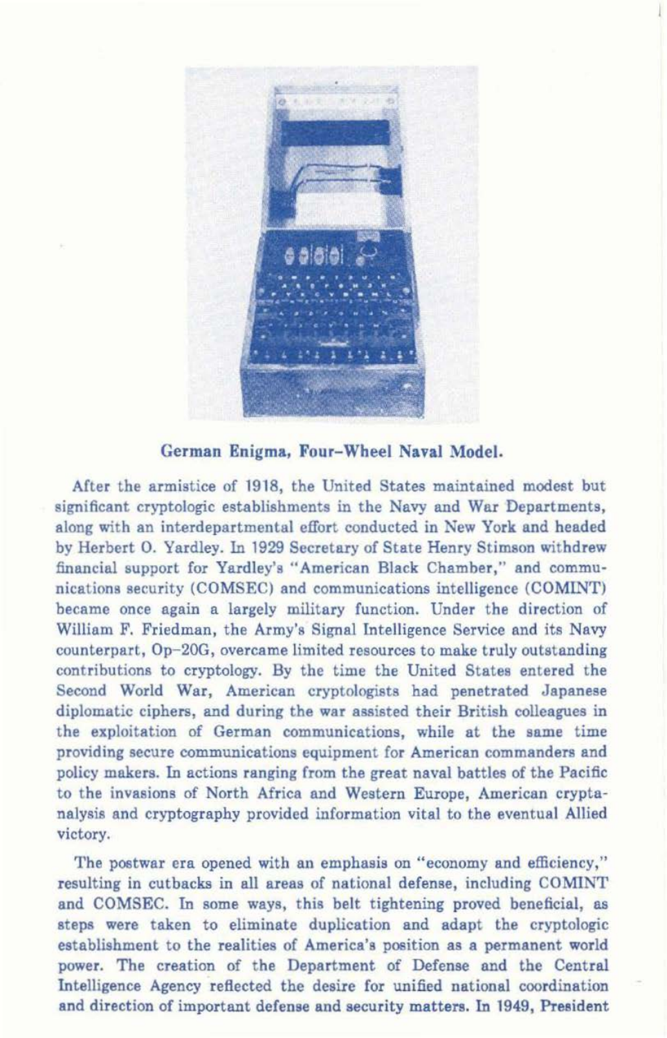

German Enigma, Four-Wheel Naval Model.

After the armistice of 1918, the United States maintained modest but significant cryptologic establishments in the Navy and War Departments, along with an interdepartmental effort conducted in New York and headed by Herbert 0. Yardley. In 1929 Secretary of State Henry Stimson withdrew financial support for Yardley's "American Black Chamber," and communications security (COMSEC) and communications intelligence (COMINT) became once again a largely military function. Under the direction of William F. Friedman, the Army's Signal Intelligence Service and its Navy counterpart, Op-20G, overcame limited resources to make truly outstanding contributions to cryptology. By the time the United States entered the Second World War, American cryptologists had penetrated Japanese diplomatic ciphers, and during the war assisted their British colleagues in the exploitation of German communications, while at the same time providing secure communications equipment for American commanders and policy makers. In actions ranging from the great naval battles of the Pacific to the invasions of North Africa and Western Europe, American cryptanalysis and cryptography provided information vital to the eventual Allied victory.

The postwar era opened with an emphasis on "economy and efficiency," resulting in cutbacks in all areas of national defense, including COMlNT and COMSEC. In some ways, this belt tightening proved beneficial, as steps were taken to eliminate duplication and adapt the cryptologic establishment to the realities of America's position as a permanent world power. The creation of the Department of Defense and the Central Intelligence Agency reflected the desire for unified national coordination and direction of important defense and security matters. In 1949, President